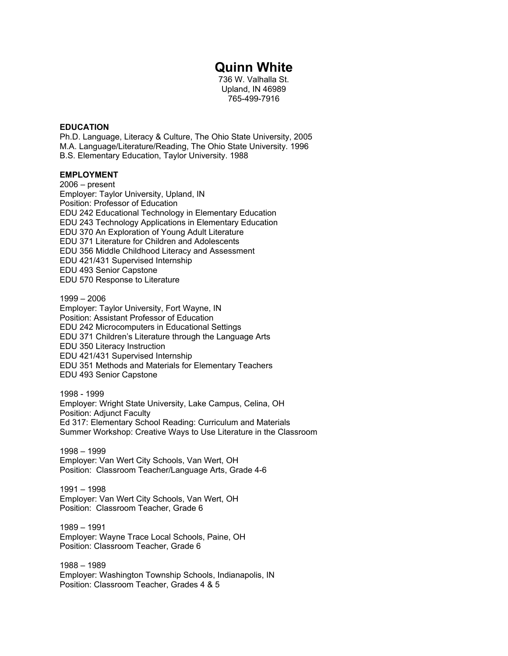# **Quinn White**

736 W. Valhalla St. Upland, IN 46989 765-499-7916

## **EDUCATION**

Ph.D. Language, Literacy & Culture, The Ohio State University, 2005 M.A. Language/Literature/Reading, The Ohio State University. 1996 B.S. Elementary Education, Taylor University. 1988

# **EMPLOYMENT**

2006 – present Employer: Taylor University, Upland, IN Position: Professor of Education EDU 242 Educational Technology in Elementary Education EDU 243 Technology Applications in Elementary Education EDU 370 An Exploration of Young Adult Literature EDU 371 Literature for Children and Adolescents EDU 356 Middle Childhood Literacy and Assessment EDU 421/431 Supervised Internship EDU 493 Senior Capstone EDU 570 Response to Literature

1999 – 2006 Employer: Taylor University, Fort Wayne, IN Position: Assistant Professor of Education EDU 242 Microcomputers in Educational Settings EDU 371 Children's Literature through the Language Arts EDU 350 Literacy Instruction EDU 421/431 Supervised Internship EDU 351 Methods and Materials for Elementary Teachers EDU 493 Senior Capstone

1998 - 1999 Employer: Wright State University, Lake Campus, Celina, OH Position: Adjunct Faculty Ed 317: Elementary School Reading: Curriculum and Materials Summer Workshop: Creative Ways to Use Literature in the Classroom

1998 – 1999 Employer: Van Wert City Schools, Van Wert, OH Position: Classroom Teacher/Language Arts, Grade 4-6

1991 – 1998 Employer: Van Wert City Schools, Van Wert, OH Position: Classroom Teacher, Grade 6

1989 – 1991 Employer: Wayne Trace Local Schools, Paine, OH Position: Classroom Teacher, Grade 6

1988 – 1989 Employer: Washington Township Schools, Indianapolis, IN Position: Classroom Teacher, Grades 4 & 5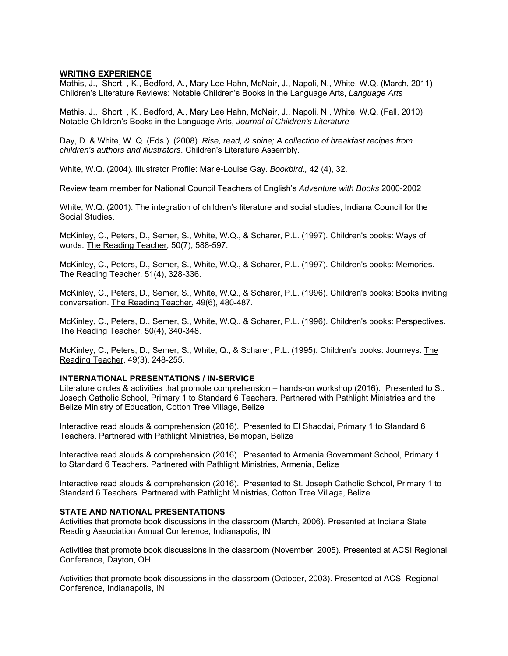#### **WRITING EXPERIENCE**

Mathis, J., Short, , K., Bedford, A., Mary Lee Hahn, McNair, J., Napoli, N., White, W.Q. (March, 2011) Children's Literature Reviews: Notable Children's Books in the Language Arts, *Language Arts*

Mathis, J., Short, , K., Bedford, A., Mary Lee Hahn, McNair, J., Napoli, N., White, W.Q. (Fall, 2010) Notable Children's Books in the Language Arts, *Journal of Children's Literature*

Day, D. & White, W. Q. (Eds.). (2008). *Rise, read, & shine; A collection of breakfast recipes from children's authors and illustrators*. Children's Literature Assembly.

White, W.Q. (2004). Illustrator Profile: Marie-Louise Gay. *Bookbird*.*,* 42 (4), 32.

Review team member for National Council Teachers of English's *Adventure with Books* 2000-2002

White, W.Q. (2001). The integration of children's literature and social studies, Indiana Council for the Social Studies.

McKinley, C., Peters, D., Semer, S., White, W.Q., & Scharer, P.L. (1997). Children's books: Ways of words. The Reading Teacher, 50(7), 588-597.

McKinley, C., Peters, D., Semer, S., White, W.Q., & Scharer, P.L. (1997). Children's books: Memories. The Reading Teacher, 51(4), 328-336.

McKinley, C., Peters, D., Semer, S., White, W.Q., & Scharer, P.L. (1996). Children's books: Books inviting conversation. The Reading Teacher, 49(6), 480-487.

McKinley, C., Peters, D., Semer, S., White, W.Q., & Scharer, P.L. (1996). Children's books: Perspectives. The Reading Teacher, 50(4), 340-348.

McKinley, C., Peters, D., Semer, S., White, Q., & Scharer, P.L. (1995). Children's books: Journeys. The Reading Teacher, 49(3), 248-255.

# **INTERNATIONAL PRESENTATIONS / IN-SERVICE**

Literature circles & activities that promote comprehension – hands-on workshop (2016). Presented to St. Joseph Catholic School, Primary 1 to Standard 6 Teachers. Partnered with Pathlight Ministries and the Belize Ministry of Education, Cotton Tree Village, Belize

Interactive read alouds & comprehension (2016). Presented to El Shaddai, Primary 1 to Standard 6 Teachers. Partnered with Pathlight Ministries, Belmopan, Belize

Interactive read alouds & comprehension (2016). Presented to Armenia Government School, Primary 1 to Standard 6 Teachers. Partnered with Pathlight Ministries, Armenia, Belize

Interactive read alouds & comprehension (2016). Presented to St. Joseph Catholic School, Primary 1 to Standard 6 Teachers. Partnered with Pathlight Ministries, Cotton Tree Village, Belize

# **STATE AND NATIONAL PRESENTATIONS**

Activities that promote book discussions in the classroom (March, 2006). Presented at Indiana State Reading Association Annual Conference, Indianapolis, IN

Activities that promote book discussions in the classroom (November, 2005). Presented at ACSI Regional Conference, Dayton, OH

Activities that promote book discussions in the classroom (October, 2003). Presented at ACSI Regional Conference, Indianapolis, IN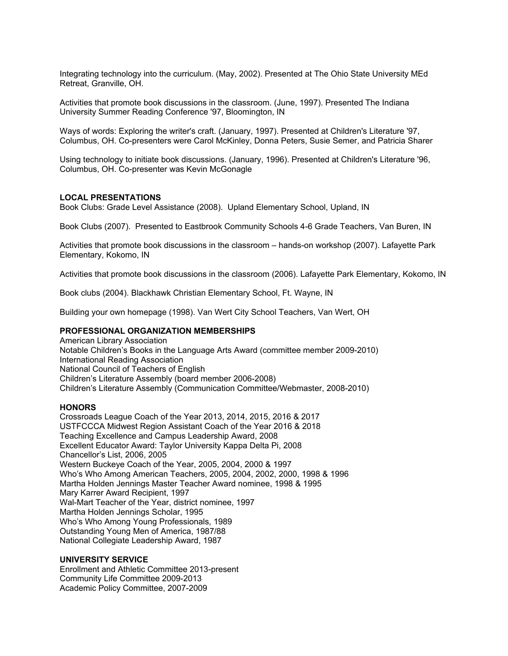Integrating technology into the curriculum. (May, 2002). Presented at The Ohio State University MEd Retreat, Granville, OH.

Activities that promote book discussions in the classroom. (June, 1997). Presented The Indiana University Summer Reading Conference '97, Bloomington, IN

Ways of words: Exploring the writer's craft. (January, 1997). Presented at Children's Literature '97, Columbus, OH. Co-presenters were Carol McKinley, Donna Peters, Susie Semer, and Patricia Sharer

Using technology to initiate book discussions. (January, 1996). Presented at Children's Literature '96, Columbus, OH. Co-presenter was Kevin McGonagle

## **LOCAL PRESENTATIONS**

Book Clubs: Grade Level Assistance (2008). Upland Elementary School, Upland, IN

Book Clubs (2007). Presented to Eastbrook Community Schools 4-6 Grade Teachers, Van Buren, IN

Activities that promote book discussions in the classroom – hands-on workshop (2007). Lafayette Park Elementary, Kokomo, IN

Activities that promote book discussions in the classroom (2006). Lafayette Park Elementary, Kokomo, IN

Book clubs (2004). Blackhawk Christian Elementary School, Ft. Wayne, IN

Building your own homepage (1998). Van Wert City School Teachers, Van Wert, OH

#### **PROFESSIONAL ORGANIZATION MEMBERSHIPS**

American Library Association Notable Children's Books in the Language Arts Award (committee member 2009-2010) International Reading Association National Council of Teachers of English Children's Literature Assembly (board member 2006-2008) Children's Literature Assembly (Communication Committee/Webmaster, 2008-2010)

#### **HONORS**

Crossroads League Coach of the Year 2013, 2014, 2015, 2016 & 2017 USTFCCCA Midwest Region Assistant Coach of the Year 2016 & 2018 Teaching Excellence and Campus Leadership Award, 2008 Excellent Educator Award: Taylor University Kappa Delta Pi, 2008 Chancellor's List, 2006, 2005 Western Buckeye Coach of the Year, 2005, 2004, 2000 & 1997 Who's Who Among American Teachers, 2005, 2004, 2002, 2000, 1998 & 1996 Martha Holden Jennings Master Teacher Award nominee, 1998 & 1995 Mary Karrer Award Recipient, 1997 Wal-Mart Teacher of the Year, district nominee, 1997 Martha Holden Jennings Scholar, 1995 Who's Who Among Young Professionals, 1989 Outstanding Young Men of America, 1987/88 National Collegiate Leadership Award, 1987

## **UNIVERSITY SERVICE**

Enrollment and Athletic Committee 2013-present Community Life Committee 2009-2013 Academic Policy Committee, 2007-2009